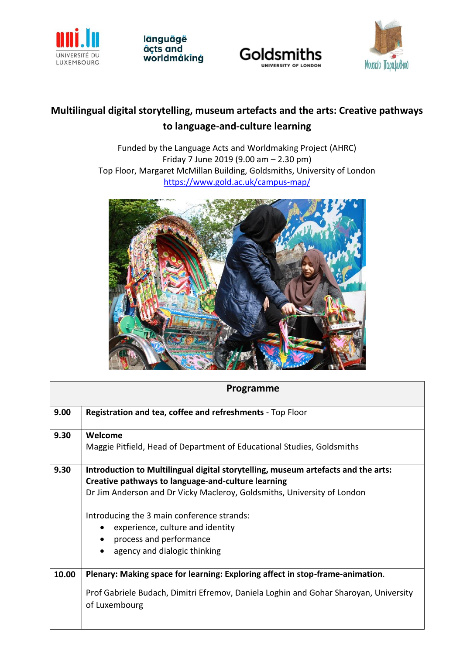





# **Multilingual digital storytelling, museum artefacts and the arts: Creative pathways to language-and-culture learning**

Funded by the Language Acts and Worldmaking Project (AHRC) Friday 7 June 2019 (9.00 am – 2.30 pm) Top Floor, Margaret McMillan Building, Goldsmiths, University of London <https://www.gold.ac.uk/campus-map/>



| Programme |                                                                                                                                         |  |  |  |
|-----------|-----------------------------------------------------------------------------------------------------------------------------------------|--|--|--|
| 9.00      | Registration and tea, coffee and refreshments - Top Floor                                                                               |  |  |  |
| 9.30      | Welcome<br>Maggie Pitfield, Head of Department of Educational Studies, Goldsmiths                                                       |  |  |  |
| 9.30      | Introduction to Multilingual digital storytelling, museum artefacts and the arts:<br>Creative pathways to language-and-culture learning |  |  |  |
|           | Dr Jim Anderson and Dr Vicky Macleroy, Goldsmiths, University of London<br>Introducing the 3 main conference strands:                   |  |  |  |
|           | experience, culture and identity<br>$\bullet$<br>process and performance<br>$\bullet$<br>agency and dialogic thinking<br>$\bullet$      |  |  |  |
| 10.00     | Plenary: Making space for learning: Exploring affect in stop-frame-animation.                                                           |  |  |  |
|           | Prof Gabriele Budach, Dimitri Efremov, Daniela Loghin and Gohar Sharoyan, University<br>of Luxembourg                                   |  |  |  |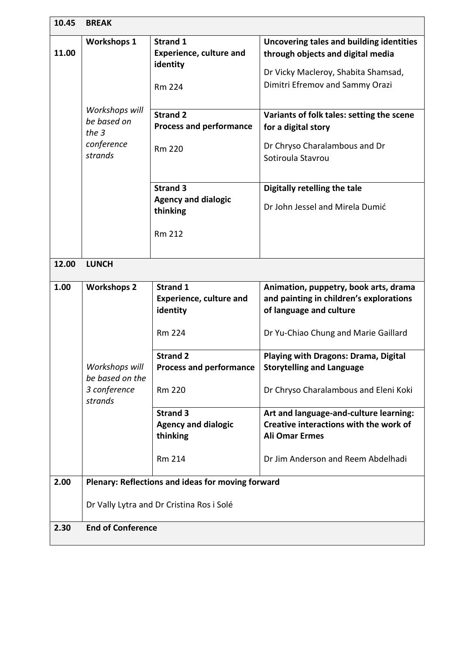| 10.45 | <b>BREAK</b>                                                                                   |                                                                                                                                                                                                                                    |                                                                                                                                                                                                                                                                                                                                                      |  |
|-------|------------------------------------------------------------------------------------------------|------------------------------------------------------------------------------------------------------------------------------------------------------------------------------------------------------------------------------------|------------------------------------------------------------------------------------------------------------------------------------------------------------------------------------------------------------------------------------------------------------------------------------------------------------------------------------------------------|--|
| 11.00 | <b>Workshops 1</b><br>Workshops will<br>be based on<br>the $3$<br>conference<br>strands        | <b>Strand 1</b><br><b>Experience, culture and</b><br>identity<br><b>Rm 224</b><br><b>Strand 2</b><br><b>Process and performance</b><br><b>Rm 220</b><br><b>Strand 3</b><br><b>Agency and dialogic</b><br>thinking<br><b>Rm 212</b> | Uncovering tales and building identities<br>through objects and digital media<br>Dr Vicky Macleroy, Shabita Shamsad,<br>Dimitri Efremov and Sammy Orazi<br>Variants of folk tales: setting the scene<br>for a digital story<br>Dr Chryso Charalambous and Dr<br>Sotiroula Stavrou<br>Digitally retelling the tale<br>Dr John Jessel and Mirela Dumić |  |
|       |                                                                                                |                                                                                                                                                                                                                                    |                                                                                                                                                                                                                                                                                                                                                      |  |
| 12.00 | <b>LUNCH</b>                                                                                   |                                                                                                                                                                                                                                    |                                                                                                                                                                                                                                                                                                                                                      |  |
| 1.00  | <b>Workshops 2</b><br>Workshops will<br>be based on the<br>3 conference<br>strands             | <b>Strand 1</b><br><b>Experience, culture and</b><br>identity<br><b>Rm 224</b>                                                                                                                                                     | Animation, puppetry, book arts, drama<br>and painting in children's explorations<br>of language and culture<br>Dr Yu-Chiao Chung and Marie Gaillard                                                                                                                                                                                                  |  |
|       |                                                                                                | <b>Strand 2</b><br><b>Process and performance</b><br><b>Rm 220</b>                                                                                                                                                                 | Playing with Dragons: Drama, Digital<br><b>Storytelling and Language</b><br>Dr Chryso Charalambous and Eleni Koki                                                                                                                                                                                                                                    |  |
|       |                                                                                                | <b>Strand 3</b><br><b>Agency and dialogic</b><br>thinking                                                                                                                                                                          | Art and language-and-culture learning:<br>Creative interactions with the work of<br><b>Ali Omar Ermes</b>                                                                                                                                                                                                                                            |  |
|       |                                                                                                | <b>Rm 214</b>                                                                                                                                                                                                                      | Dr Jim Anderson and Reem Abdelhadi                                                                                                                                                                                                                                                                                                                   |  |
| 2.00  | Plenary: Reflections and ideas for moving forward<br>Dr Vally Lytra and Dr Cristina Ros i Solé |                                                                                                                                                                                                                                    |                                                                                                                                                                                                                                                                                                                                                      |  |
|       |                                                                                                |                                                                                                                                                                                                                                    |                                                                                                                                                                                                                                                                                                                                                      |  |
| 2.30  | <b>End of Conference</b>                                                                       |                                                                                                                                                                                                                                    |                                                                                                                                                                                                                                                                                                                                                      |  |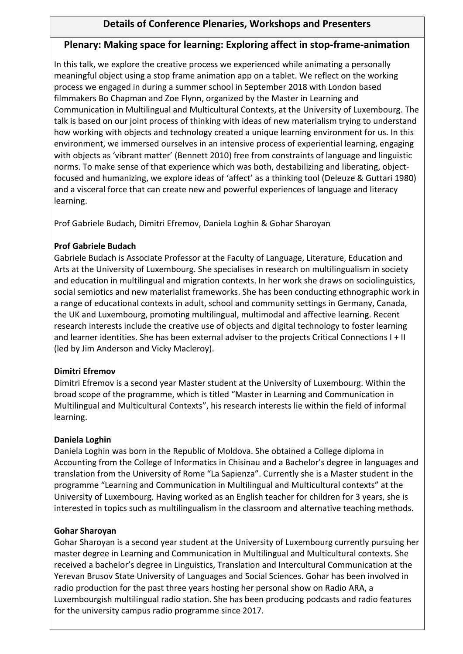# **Details of Conference Plenaries, Workshops and Presenters**

# **Plenary: Making space for learning: Exploring affect in stop-frame-animation**

In this talk, we explore the creative process we experienced while animating a personally meaningful object using a stop frame animation app on a tablet. We reflect on the working process we engaged in during a summer school in September 2018 with London based filmmakers Bo Chapman and Zoe Flynn, organized by the Master in Learning and Communication in Multilingual and Multicultural Contexts, at the University of Luxembourg. The talk is based on our joint process of thinking with ideas of new materialism trying to understand how working with objects and technology created a unique learning environment for us. In this environment, we immersed ourselves in an intensive process of experiential learning, engaging with objects as 'vibrant matter' (Bennett 2010) free from constraints of language and linguistic norms. To make sense of that experience which was both, destabilizing and liberating, objectfocused and humanizing, we explore ideas of 'affect' as a thinking tool (Deleuze & Guttari 1980) and a visceral force that can create new and powerful experiences of language and literacy learning.

Prof Gabriele Budach, Dimitri Efremov, Daniela Loghin & Gohar Sharoyan

## **Prof Gabriele Budach**

Gabriele Budach is Associate Professor at the Faculty of Language, Literature, Education and Arts at the University of Luxembourg. She specialises in research on multilingualism in society and education in multilingual and migration contexts. In her work she draws on sociolinguistics, social semiotics and new materialist frameworks. She has been conducting ethnographic work in a range of educational contexts in adult, school and community settings in Germany, Canada, the UK and Luxembourg, promoting multilingual, multimodal and affective learning. Recent research interests include the creative use of objects and digital technology to foster learning and learner identities. She has been external adviser to the projects Critical Connections I + II (led by Jim Anderson and Vicky Macleroy).

# **Dimitri Efremov**

Dimitri Efremov is a second year Master student at the University of Luxembourg. Within the broad scope of the programme, which is titled "Master in Learning and Communication in Multilingual and Multicultural Contexts", his research interests lie within the field of informal learning.

# **Daniela Loghin**

Daniela Loghin was born in the Republic of Moldova. She obtained a College diploma in Accounting from the College of Informatics in Chisinau and a Bachelor's degree in languages and translation from the University of Rome "La Sapienza". Currently she is a Master student in the programme "Learning and Communication in Multilingual and Multicultural contexts" at the University of Luxembourg. Having worked as an English teacher for children for 3 years, she is interested in topics such as multilingualism in the classroom and alternative teaching methods.

# **Gohar Sharoyan**

Gohar Sharoyan is a second year student at the University of Luxembourg currently pursuing her master degree in Learning and Communication in Multilingual and Multicultural contexts. She received a bachelor's degree in Linguistics, Translation and Intercultural Communication at the Yerevan Brusov State University of Languages and Social Sciences. Gohar has been involved in radio production for the past three years hosting her personal show on Radio ARA, a Luxembourgish multilingual radio station. She has been producing podcasts and radio features for the university campus radio programme since 2017.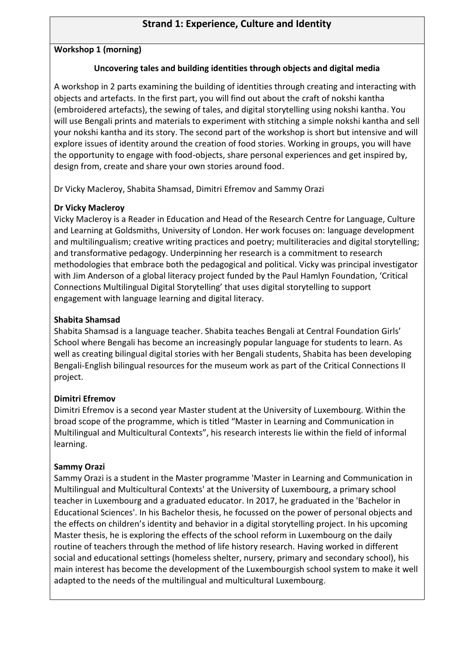# **Strand 1: Experience, Culture and Identity**

#### **Workshop 1 (morning)**

#### **Uncovering tales and building identities through objects and digital media**

A workshop in 2 parts examining the building of identities through creating and interacting with objects and artefacts. In the first part, you will find out about the craft of nokshi kantha (embroidered artefacts), the sewing of tales, and digital storytelling using nokshi kantha. You will use Bengali prints and materials to experiment with stitching a simple nokshi kantha and sell your nokshi kantha and its story. The second part of the workshop is short but intensive and will explore issues of identity around the creation of food stories. Working in groups, you will have the opportunity to engage with food-objects, share personal experiences and get inspired by, design from, create and share your own stories around food.

Dr Vicky Macleroy, Shabita Shamsad, Dimitri Efremov and Sammy Orazi

#### **Dr Vicky Macleroy**

Vicky Macleroy is a Reader in Education and Head of the Research Centre for Language, Culture and Learning at Goldsmiths, University of London. Her work focuses on: language development and multilingualism; creative writing practices and poetry; multiliteracies and digital storytelling; and transformative pedagogy. Underpinning her research is a commitment to research methodologies that embrace both the pedagogical and political. Vicky was principal investigator with Jim Anderson of a global literacy project funded by the Paul Hamlyn Foundation, 'Critical Connections Multilingual Digital Storytelling' that uses digital storytelling to support engagement with language learning and digital literacy.

#### **Shabita Shamsad**

Shabita Shamsad is a language teacher. Shabita teaches Bengali at Central Foundation Girls' School where Bengali has become an increasingly popular language for students to learn. As well as creating bilingual digital stories with her Bengali students, Shabita has been developing Bengali-English bilingual resources for the museum work as part of the Critical Connections II project.

#### **Dimitri Efremov**

Dimitri Efremov is a second year Master student at the University of Luxembourg. Within the broad scope of the programme, which is titled "Master in Learning and Communication in Multilingual and Multicultural Contexts", his research interests lie within the field of informal learning.

#### **Sammy Orazi**

Sammy Orazi is a student in the Master programme 'Master in Learning and Communication in Multilingual and Multicultural Contexts' at the University of Luxembourg, a primary school teacher in Luxembourg and a graduated educator. In 2017, he graduated in the 'Bachelor in Educational Sciences'. In his Bachelor thesis, he focussed on the power of personal objects and the effects on children's identity and behavior in a digital storytelling project. In his upcoming Master thesis, he is exploring the effects of the school reform in Luxembourg on the daily routine of teachers through the method of life history research. Having worked in different social and educational settings (homeless shelter, nursery, primary and secondary school), his main interest has become the development of the Luxembourgish school system to make it well adapted to the needs of the multilingual and multicultural Luxembourg.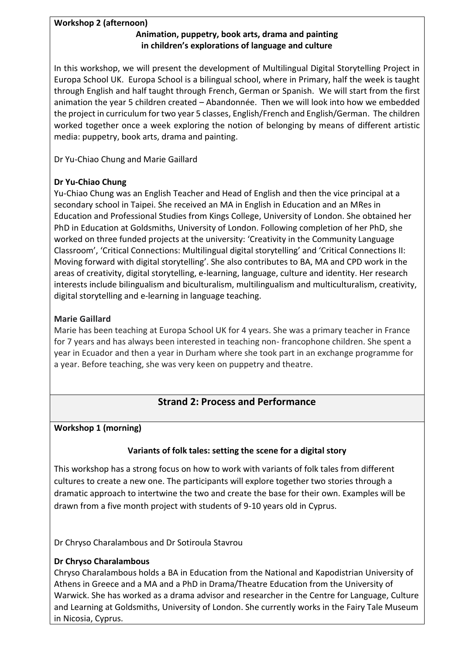# **Workshop 2 (afternoon)**

# **Animation, puppetry, book arts, drama and painting in children's explorations of language and culture**

In this workshop, we will present the development of Multilingual Digital Storytelling Project in Europa School UK. Europa School is a bilingual school, where in Primary, half the week is taught through English and half taught through French, German or Spanish. We will start from the first animation the year 5 children created – Abandonnée. Then we will look into how we embedded the project in curriculum for two year 5 classes, English/French and English/German. The children worked together once a week exploring the notion of belonging by means of different artistic media: puppetry, book arts, drama and painting.

Dr Yu-Chiao Chung and Marie Gaillard

## **Dr Yu-Chiao Chung**

Yu-Chiao Chung was an English Teacher and Head of English and then the vice principal at a secondary school in Taipei. She received an MA in English in Education and an MRes in Education and Professional Studies from Kings College, University of London. She obtained her PhD in Education at Goldsmiths, University of London. Following completion of her PhD, she worked on three funded projects at the university: 'Creativity in the Community Language Classroom', 'Critical Connections: Multilingual digital storytelling' and 'Critical Connections II: Moving forward with digital storytelling'. She also contributes to BA, MA and CPD work in the areas of creativity, digital storytelling, e-learning, language, culture and identity. Her research interests include bilingualism and biculturalism, multilingualism and multiculturalism, creativity, digital storytelling and e-learning in language teaching.

## **Marie Gaillard**

Marie has been teaching at Europa School UK for 4 years. She was a primary teacher in France for 7 years and has always been interested in teaching non- francophone children. She spent a year in Ecuador and then a year in Durham where she took part in an exchange programme for a year. Before teaching, she was very keen on puppetry and theatre.

# **Strand 2: Process and Performance**

#### **Workshop 1 (morning)**

#### **Variants of folk tales: setting the scene for a digital story**

This workshop has a strong focus on how to work with variants of folk tales from different cultures to create a new one. The participants will explore together two stories through a dramatic approach to intertwine the two and create the base for their own. Examples will be drawn from a five month project with students of 9-10 years old in Cyprus.

Dr Chryso Charalambous and Dr Sotiroula Stavrou

#### **Dr Chryso Charalambous**

Chryso Charalambous holds a BA in Education from the National and Kapodistrian University of Athens in Greece and a MA and a PhD in Drama/Theatre Education from the University of Warwick. She has worked as a drama advisor and researcher in the Centre for Language, Culture and Learning at Goldsmiths, University of London. She currently works in the Fairy Tale Museum in Nicosia, Cyprus.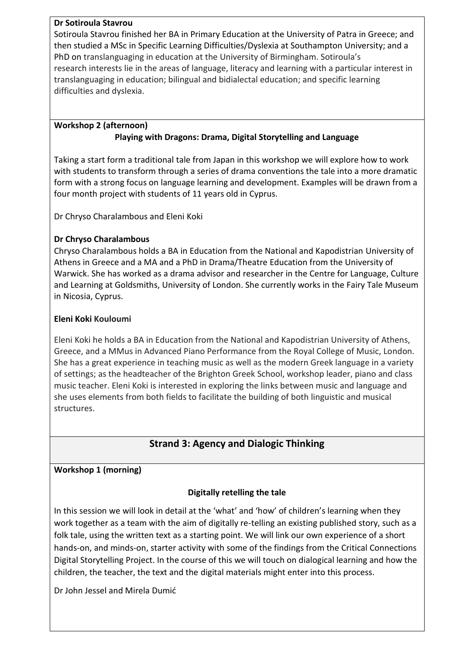#### **Dr Sotiroula Stavrou**

Sotiroula Stavrou finished her BA in Primary Education at the University of Patra in Greece; and then studied a MSc in Specific Learning Difficulties/Dyslexia at Southampton University; and a PhD on translanguaging in education at the University of Birmingham. Sotiroula's research interests lie in the areas of language, literacy and learning with a particular interest in translanguaging in education; bilingual and bidialectal education; and specific learning difficulties and dyslexia.

#### **Workshop 2 (afternoon) Playing with Dragons: Drama, Digital Storytelling and Language**

Taking a start form a traditional tale from Japan in this workshop we will explore how to work with students to transform through a series of drama conventions the tale into a more dramatic form with a strong focus on language learning and development. Examples will be drawn from a four month project with students of 11 years old in Cyprus.

Dr Chryso Charalambous and Eleni Koki

# **Dr Chryso Charalambous**

Chryso Charalambous holds a BA in Education from the National and Kapodistrian University of Athens in Greece and a MA and a PhD in Drama/Theatre Education from the University of Warwick. She has worked as a drama advisor and researcher in the Centre for Language, Culture and Learning at Goldsmiths, University of London. She currently works in the Fairy Tale Museum in Nicosia, Cyprus.

# **Eleni Koki Kouloumi**

Eleni Koki he holds a BA in Education from the National and Kapodistrian University of Athens, Greece, and a MMus in Advanced Piano Performance from the Royal College of Music, London. She has a great experience in teaching music as well as the modern Greek language in a variety of settings; as the headteacher of the Brighton Greek School, workshop leader, piano and class music teacher. Eleni Koki is interested in exploring the links between music and language and she uses elements from both fields to facilitate the building of both linguistic and musical structures.

# **Strand 3: Agency and Dialogic Thinking**

# **Workshop 1 (morning)**

# **Digitally retelling the tale**

In this session we will look in detail at the 'what' and 'how' of children's learning when they work together as a team with the aim of digitally re-telling an existing published story, such as a folk tale, using the written text as a starting point. We will link our own experience of a short hands-on, and minds-on, starter activity with some of the findings from the Critical Connections Digital Storytelling Project. In the course of this we will touch on dialogical learning and how the children, the teacher, the text and the digital materials might enter into this process.

Dr John Jessel and Mirela Dumić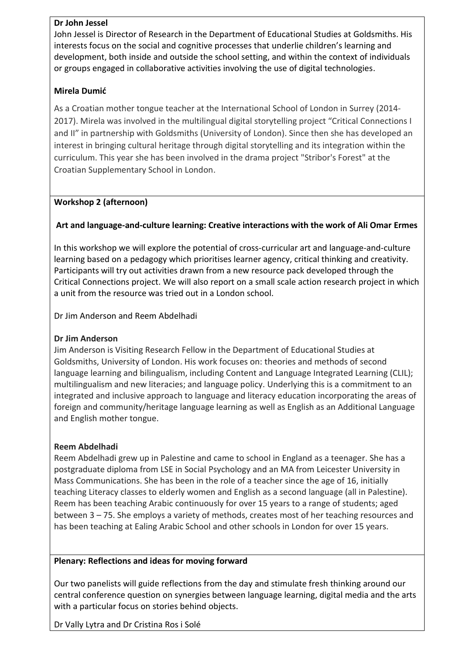#### **Dr John Jessel**

John Jessel is Director of Research in the Department of Educational Studies at Goldsmiths. His interests focus on the social and cognitive processes that underlie children's learning and development, both inside and outside the school setting, and within the context of individuals or groups engaged in collaborative activities involving the use of digital technologies.

## **Mirela Dumić**

As a Croatian mother tongue teacher at the International School of London in Surrey (2014- 2017). Mirela was involved in the multilingual digital storytelling project "Critical Connections I and II" in partnership with Goldsmiths (University of London). Since then she has developed an interest in bringing cultural heritage through digital storytelling and its integration within the curriculum. This year she has been involved in the drama project "Stribor's Forest" at the Croatian Supplementary School in London.

## **Workshop 2 (afternoon)**

## **Art and language-and-culture learning: Creative interactions with the work of Ali Omar Ermes**

In this workshop we will explore the potential of cross-curricular art and language-and-culture learning based on a pedagogy which prioritises learner agency, critical thinking and creativity. Participants will try out activities drawn from a new resource pack developed through the Critical Connections project. We will also report on a small scale action research project in which a unit from the resource was tried out in a London school.

Dr Jim Anderson and Reem Abdelhadi

#### **Dr Jim Anderson**

Jim Anderson is Visiting Research Fellow in the Department of Educational Studies at Goldsmiths, University of London. His work focuses on: theories and methods of second language learning and bilingualism, including Content and Language Integrated Learning (CLIL); multilingualism and new literacies; and language policy. Underlying this is a commitment to an integrated and inclusive approach to language and literacy education incorporating the areas of foreign and community/heritage language learning as well as English as an Additional Language and English mother tongue.

#### **Reem Abdelhadi**

Reem Abdelhadi grew up in Palestine and came to school in England as a teenager. She has a postgraduate diploma from LSE in Social Psychology and an MA from Leicester University in Mass Communications. She has been in the role of a teacher since the age of 16, initially teaching Literacy classes to elderly women and English as a second language (all in Palestine). Reem has been teaching Arabic continuously for over 15 years to a range of students; aged between 3 – 75. She employs a variety of methods, creates most of her teaching resources and has been teaching at Ealing Arabic School and other schools in London for over 15 years.

#### **Plenary: Reflections and ideas for moving forward**

Our two panelists will guide reflections from the day and stimulate fresh thinking around our central conference question on synergies between language learning, digital media and the arts with a particular focus on stories behind objects.

Dr Vally Lytra and Dr Cristina Ros i Solé